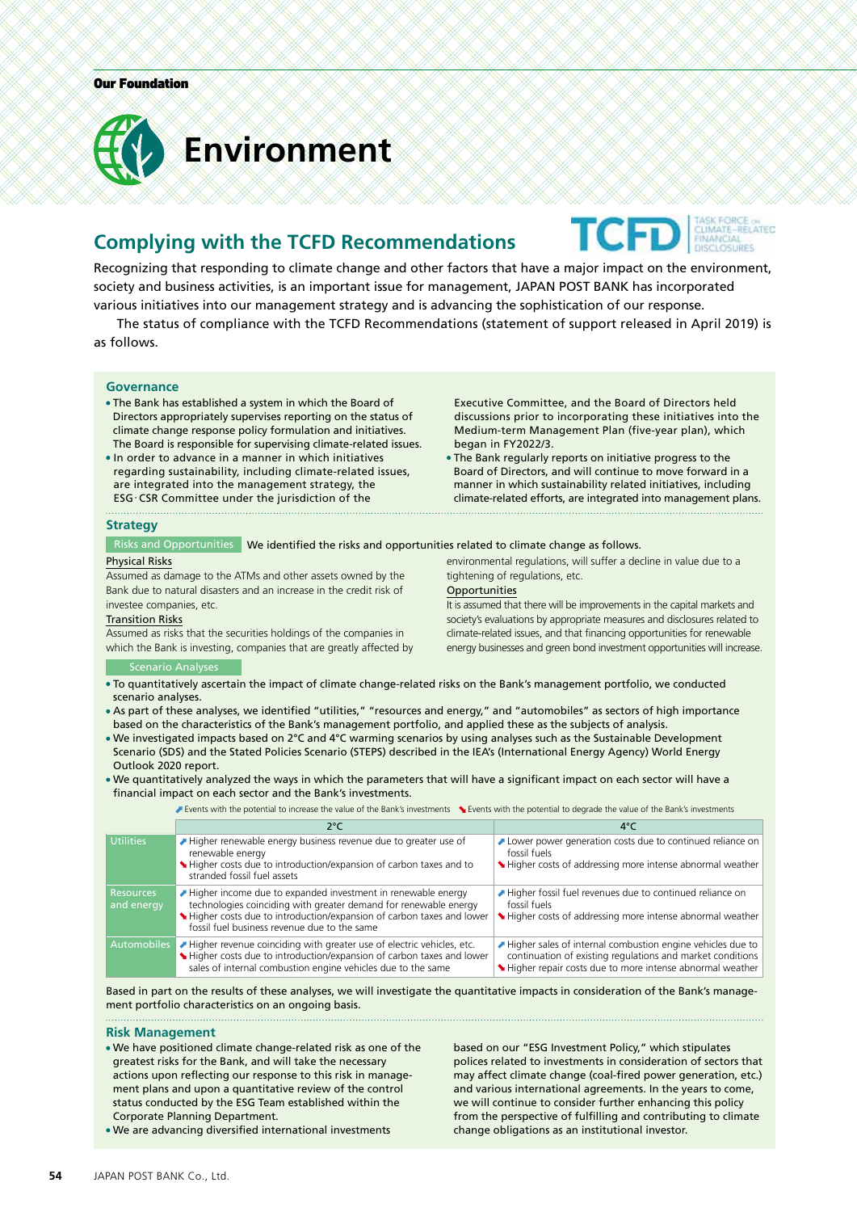

## **Complying with the TCFD Recommendations**



Recognizing that responding to climate change and other factors that have a major impact on the environment, society and business activities, is an important issue for management, JAPAN POST BANK has incorporated various initiatives into our management strategy and is advancing the sophistication of our response.

The status of compliance with the TCFD Recommendations (statement of support released in April 2019) is as follows.

#### **Governance**

- The Bank has established a system in which the Board of Directors appropriately supervises reporting on the status of climate change response policy formulation and initiatives. The Board is responsible for supervising climate-related issues.
- In order to advance in a manner in which initiatives regarding sustainability, including climate-related issues, are integrated into the management strategy, the ESG・CSR Committee under the jurisdiction of the

Executive Committee, and the Board of Directors held discussions prior to incorporating these initiatives into the Medium-term Management Plan (five-year plan), which began in FY2022/3.

The Bank regularly reports on initiative progress to the Board of Directors, and will continue to move forward in a manner in which sustainability related initiatives, including climate-related efforts, are integrated into management plans.

#### **Strategy**

Risks and Opportunities We identified the risks and opportunities related to climate change as follows.

#### Physical Risks

Assumed as damage to the ATMs and other assets owned by the Bank due to natural disasters and an increase in the credit risk of investee companies, etc.

#### Transition Risks

Assumed as risks that the securities holdings of the companies in which the Bank is investing, companies that are greatly affected by environmental regulations, will suffer a decline in value due to a tightening of regulations, etc. **Opportunities** 

It is assumed that there will be improvements in the capital markets and society's evaluations by appropriate measures and disclosures related to climate-related issues, and that financing opportunities for renewable energy businesses and green bond investment opportunities will increase.

#### Scenario Analyses

- To quantitatively ascertain the impact of climate change-related risks on the Bank's management portfolio, we conducted scenario analyses.
- As part of these analyses, we identified "utilities," "resources and energy," and "automobiles" as sectors of high importance based on the characteristics of the Bank's management portfolio, and applied these as the subjects of analysis.
- We investigated impacts based on 2°C and 4°C warming scenarios by using analyses such as the Sustainable Development Scenario (SDS) and the Stated Policies Scenario (STEPS) described in the IEA's (International Energy Agency) World Energy Outlook 2020 report.
- We quantitatively analyzed the ways in which the parameters that will have a significant impact on each sector will have a financial impact on each sector and the Bank's investments.

Events with the potential to increase the value of the Bank's investments Levents with the potential to degrade the value of the Bank's investments

|                                | 2°C                                                                                                                                                                                                                                                      |                                                                                                                                                                                      |
|--------------------------------|----------------------------------------------------------------------------------------------------------------------------------------------------------------------------------------------------------------------------------------------------------|--------------------------------------------------------------------------------------------------------------------------------------------------------------------------------------|
| <b>Utilities</b>               | Higher renewable energy business revenue due to greater use of<br>renewable energy<br>Higher costs due to introduction/expansion of carbon taxes and to<br>stranded fossil fuel assets                                                                   | Lower power generation costs due to continued reliance on<br>fossil fuels<br>Higher costs of addressing more intense abnormal weather                                                |
| <b>Resources</b><br>and energy | Higher income due to expanded investment in renewable energy<br>technologies coinciding with greater demand for renewable energy<br>Higher costs due to introduction/expansion of carbon taxes and lower<br>fossil fuel business revenue due to the same | Higher fossil fuel revenues due to continued reliance on<br>fossil fuels<br>Higher costs of addressing more intense abnormal weather                                                 |
| <b>Automobiles</b>             | Higher revenue coinciding with greater use of electric vehicles, etc.<br>Higher costs due to introduction/expansion of carbon taxes and lower<br>sales of internal combustion engine vehicles due to the same                                            | Higher sales of internal combustion engine vehicles due to<br>continuation of existing regulations and market conditions<br>Higher repair costs due to more intense abnormal weather |

Based in part on the results of these analyses, we will investigate the quantitative impacts in consideration of the Bank's management portfolio characteristics on an ongoing basis.

#### **Risk Management**

We have positioned climate change-related risk as one of the greatest risks for the Bank, and will take the necessary actions upon reflecting our response to this risk in management plans and upon a quantitative review of the control status conducted by the ESG Team established within the Corporate Planning Department.

We are advancing diversified international investments

based on our "ESG Investment Policy," which stipulates polices related to investments in consideration of sectors that may affect climate change (coal-fired power generation, etc.) and various international agreements. In the years to come, we will continue to consider further enhancing this policy from the perspective of fulfilling and contributing to climate change obligations as an institutional investor.